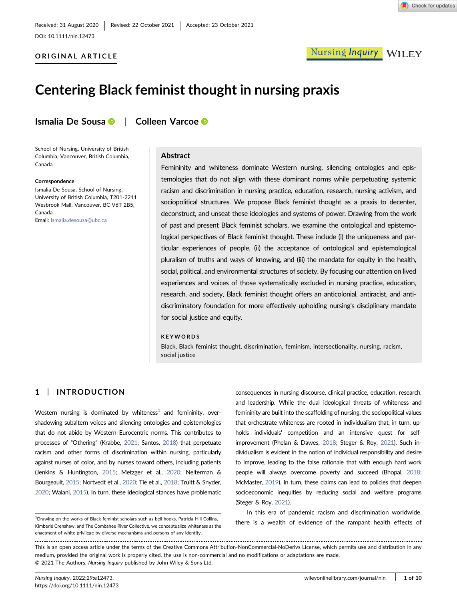### ORIGINAL ARTICLE



# Centering Black feminist thought in nursing praxis

Ismalia D[e](http://orcid.org/0000-0001-9090-2793) Sousa <sup>®</sup> | Colleen Varcoe <sup>®</sup>

School of Nursing, University of British Columbia, Vancouver, British Columbia, Canada

#### **Correspondence**

Ismalia De Sousa, School of Nursing, University of British Columbia, T201‐2211 Wesbrook Mall, Vancouver, BC V6T 2B5, Canada. Email: [ismalia.desousa@ubc.ca](mailto:ismalia.desousa@ubc.ca)

#### Abstract

Femininity and whiteness dominate Western nursing, silencing ontologies and epistemologies that do not align with these dominant norms while perpetuating systemic racism and discrimination in nursing practice, education, research, nursing activism, and sociopolitical structures. We propose Black feminist thought as a praxis to decenter, deconstruct, and unseat these ideologies and systems of power. Drawing from the work of past and present Black feminist scholars, we examine the ontological and epistemological perspectives of Black feminist thought. These include (i) the uniqueness and particular experiences of people, (ii) the acceptance of ontological and epistemological pluralism of truths and ways of knowing, and (iii) the mandate for equity in the health, social, political, and environmental structures of society. By focusing our attention on lived experiences and voices of those systematically excluded in nursing practice, education, research, and society, Black feminist thought offers an anticolonial, antiracist, and antidiscriminatory foundation for more effectively upholding nursing's disciplinary mandate for social justice and equity.

#### KEYWORDS

Black, Black feminist thought, discrimination, feminism, intersectionality, nursing, racism, social justice

### 1 | INTRODUCTION

Western nursing is dominated by whiteness $<sup>1</sup>$  $<sup>1</sup>$  $<sup>1</sup>$  and femininity, over-</sup> shadowing subaltern voices and silencing ontologies and epistemologies that do not abide by Western Eurocentric norms. This contributes to processes of "Othering" (Krabbe, [2021](#page-8-0); Santos, [2018\)](#page-9-0) that perpetuate racism and other forms of discrimination within nursing, particularly against nurses of color, and by nurses toward others, including patients (Jenkins & Huntington, [2015;](#page-8-1) Metzger et al., [2020;](#page-8-2) Neiterman & Bourgeault, [2015](#page-8-3); Nortvedt et al., [2020](#page-8-4); Tie et al., [2018](#page-9-1); Truitt & Snyder, [2020](#page-9-2); Walani, [2015\)](#page-9-3). In turn, these ideological stances have problematic

consequences in nursing discourse, clinical practice, education, research, and leadership. While the dual ideological threats of whiteness and femininity are built into the scaffolding of nursing, the sociopolitical values that orchestrate whiteness are rooted in individualism that, in turn, upholds individuals' competition and an intensive quest for selfimprovement (Phelan & Dawes, [2018;](#page-8-5) Steger & Roy, [2021\)](#page-9-4). Such individualism is evident in the notion of individual responsibility and desire to improve, leading to the false rationale that with enough hard work people will always overcome poverty and succeed (Bhopal, [2018;](#page-7-0) McMaster, [2019](#page-8-6)). In turn, these claims can lead to policies that deepen socioeconomic inequities by reducing social and welfare programs (Steger & Roy, [2021\)](#page-9-4).

In this era of pandemic racism and discrimination worldwide, there is a wealth of evidence of the rampant health effects of

This is an open access article under the terms of the Creative Commons Attribution-NonCommercial-NoDerivs License, which permits use and distribution in any medium, provided the original work is properly cited, the use is non‐commercial and no modifications or adaptations are made. © 2021 The Authors. Nursing Inquiry published by John Wiley & Sons Ltd.

<span id="page-0-0"></span><sup>&</sup>lt;sup>1</sup>Drawing on the works of Black feminist scholars such as bell hooks, Patricia Hill Collins, Kimberlé Crenshaw, and The Combahee River Collective, we conceptualize whiteness as the enactment of white privilege by diverse mechanisms and persons of any identity.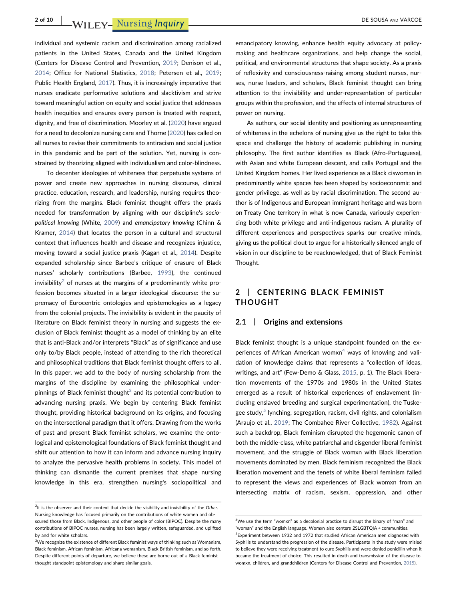## 2 of 10 WILEY- Nursing Inquiry **DE SOUSA AND VARCOE**

individual and systemic racism and discrimination among racialized patients in the United States, Canada and the United Kingdom (Centers for Disease Control and Prevention, [2019;](#page-7-1) Denison et al., [2014](#page-8-7); Office for National Statistics, [2018](#page-8-8); Petersen et al., [2019](#page-8-9); Public Health England, [2017\)](#page-9-5). Thus, it is increasingly imperative that nurses eradicate performative solutions and slacktivism and strive toward meaningful action on equity and social justice that addresses health inequities and ensures every person is treated with respect, dignity, and free of discrimination. Moorley et al. [\(2020\)](#page-8-10) have argued for a need to decolonize nursing care and Thorne ([2020](#page-9-6)) has called on all nurses to revise their commitments to antiracism and social justice in this pandemic and be part of the solution. Yet, nursing is constrained by theorizing aligned with individualism and color‐blindness.

To decenter ideologies of whiteness that perpetuate systems of power and create new approaches in nursing discourse, clinical practice, education, research, and leadership, nursing requires theorizing from the margins. Black feminist thought offers the praxis needed for transformation by aligning with our discipline's sociopolitical knowing (White, [2009](#page-9-7)) and emancipatory knowing (Chinn & Kramer, [2014\)](#page-7-2) that locates the person in a cultural and structural context that influences health and disease and recognizes injustice, moving toward a social justice praxis (Kagan et al., [2014\)](#page-8-11). Despite expanded scholarship since Barbee's critique of erasure of Black nurses' scholarly contributions (Barbee, [1993\)](#page-7-3), the continued invisibility<sup>[2](#page-1-0)</sup> of nurses at the margins of a predominantly white profession becomes situated in a larger ideological discourse: the supremacy of Eurocentric ontologies and epistemologies as a legacy from the colonial projects. The invisibility is evident in the paucity of literature on Black feminist theory in nursing and suggests the exclusion of Black feminist thought as a model of thinking by an elite that is anti‐Black and/or interprets "Black" as of significance and use only to/by Black people, instead of attending to the rich theoretical and philosophical traditions that Black feminist thought offers to all. In this paper, we add to the body of nursing scholarship from the margins of the discipline by examining the philosophical underpinnings of Black feminist thought $3$  and its potential contribution to advancing nursing praxis. We begin by centering Black feminist thought, providing historical background on its origins, and focusing on the intersectional paradigm that it offers. Drawing from the works of past and present Black feminist scholars, we examine the ontological and epistemological foundations of Black feminist thought and shift our attention to how it can inform and advance nursing inquiry to analyze the pervasive health problems in society. This model of thinking can dismantle the current premises that shape nursing knowledge in this era, strengthen nursing's sociopolitical and

emancipatory knowing, enhance health equity advocacy at policymaking and healthcare organizations, and help change the social, political, and environmental structures that shape society. As a praxis of reflexivity and consciousness‐raising among student nurses, nurses, nurse leaders, and scholars, Black feminist thought can bring attention to the invisibility and under‐representation of particular groups within the profession, and the effects of internal structures of power on nursing.

As authors, our social identity and positioning as unrepresenting of whiteness in the echelons of nursing give us the right to take this space and challenge the history of academic publishing in nursing philosophy. The first author identifies as Black (Afro‐Portuguese), with Asian and white European descent, and calls Portugal and the United Kingdom homes. Her lived experience as a Black ciswoman in predominantly white spaces has been shaped by socioeconomic and gender privilege, as well as by racial discrimination. The second author is of Indigenous and European immigrant heritage and was born on Treaty One territory in what is now Canada, variously experiencing both white privilege and anti‐indigenous racism. A plurality of different experiences and perspectives sparks our creative minds, giving us the political clout to argue for a historically silenced angle of vision in our discipline to be reacknowledged, that of Black Feminist Thought.

### 2 | CENTERING BLACK FEMINIST THOUGHT

#### 2.1 | Origins and extensions

Black feminist thought is a unique standpoint founded on the ex-periences of African American womxn<sup>[4](#page-1-2)</sup> ways of knowing and validation of knowledge claims that represents a "collection of ideas, writings, and art" (Few-Demo & Glass, [2015,](#page-8-12) p. 1). The Black liberation movements of the 1970s and 1980s in the United States emerged as a result of historical experiences of enslavement (including enslaved breeding and surgical experimentation), the Tuskegee study, $5$  lynching, segregation, racism, civil rights, and colonialism (Araujo et al., [2019;](#page-7-4) The Combahee River Collective, [1982\)](#page-9-8). Against such a backdrop, Black feminism disrupted the hegemonic canon of both the middle‐class, white patriarchal and cisgender liberal feminist movement, and the struggle of Black womxn with Black liberation movements dominated by men. Black feminism recognized the Black liberation movement and the tenets of white liberal feminism failed to represent the views and experiences of Black womxn from an intersecting matrix of racism, sexism, oppression, and other

<span id="page-1-0"></span> $2$ It is the observer and their context that decide the visibility and invisibility of the Other. Nursing knowledge has focused primarily on the contributions of white women and obscured those from Black, Indigenous, and other people of color (BIPOC). Despite the many contributions of BIPOC nurses, nursing has been largely written, safeguarded, and uplifted by and for white scholars.

<span id="page-1-1"></span> ${}^{3}$ We recognize the existence of different Black feminist ways of thinking such as Womanism, Black feminism, African feminism, Africana womanism, Black British feminism, and so forth. Despite different points of departure, we believe these are borne out of a Black feminist thought standpoint epistemology and share similar goals.

<span id="page-1-3"></span><span id="page-1-2"></span><sup>&</sup>lt;sup>4</sup>We use the term "womxn" as a decolonial practice to disrupt the binary of "man" and "woman" and the English language. Womxn also centers 2SLGBTQIA + communities. 5 Experiment between 1932 and 1972 that studied African American men diagnosed with Syphilis to understand the progression of the disease. Participants in the study were misled to believe they were receiving treatment to cure Syphilis and were denied penicillin when it became the treatment of choice. This resulted in death and transmission of the disease to womxn, children, and grandchildren (Centers for Disease Control and Prevention, [2015](#page-7-5)).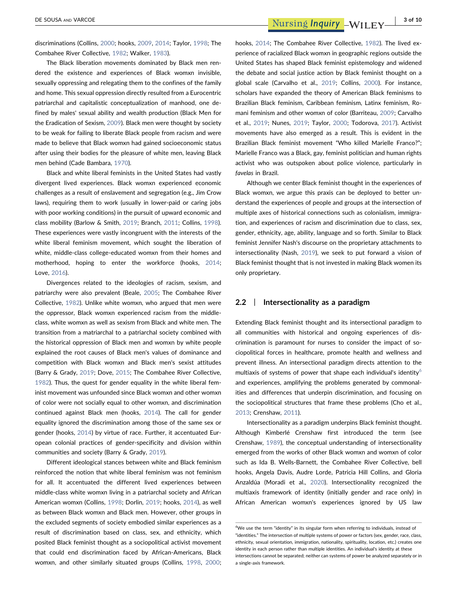DE SOUSA AND VARCOE 3 of 10

discriminations (Collins, [2000](#page-7-6); hooks, [2009,](#page-8-13) [2014;](#page-8-14) Taylor, [1998](#page-9-9); The Combahee River Collective, [1982;](#page-9-8) Walker, [1983](#page-9-10)).

The Black liberation movements dominated by Black men rendered the existence and experiences of Black womxn invisible, sexually oppressing and relegating them to the confines of the family and home. This sexual oppression directly resulted from a Eurocentric patriarchal and capitalistic conceptualization of manhood, one defined by males' sexual ability and wealth production (Black Men for the Eradication of Sexism, [2009\)](#page-7-7). Black men were thought by society to be weak for failing to liberate Black people from racism and were made to believe that Black womxn had gained socioeconomic status after using their bodies for the pleasure of white men, leaving Black men behind (Cade Bambara, [1970](#page-7-8)).

Black and white liberal feminists in the United States had vastly divergent lived experiences. Black womxn experienced economic challenges as a result of enslavement and segregation (e.g., Jim Crow laws), requiring them to work (usually in lower‐paid or caring jobs with poor working conditions) in the pursuit of upward economic and class mobility (Barlow & Smith, [2019;](#page-7-9) Branch, [2011](#page-7-10); Collins, [1998](#page-7-11)). These experiences were vastly incongruent with the interests of the white liberal feminism movement, which sought the liberation of white, middle‐class college‐educated womxn from their homes and motherhood, hoping to enter the workforce (hooks, [2014](#page-8-14); Love, [2016\)](#page-8-15).

Divergences related to the ideologies of racism, sexism, and patriarchy were also prevalent (Beale, [2005;](#page-7-12) The Combahee River Collective, [1982\)](#page-9-8). Unlike white womxn, who argued that men were the oppressor, Black womxn experienced racism from the middle‐ class, white womxn as well as sexism from Black and white men. The transition from a matriarchal to a patriarchal society combined with the historical oppression of Black men and womxn by white people explained the root causes of Black men's values of dominance and competition with Black womxn and Black men's sexist attitudes (Barry & Grady, [2019](#page-7-13); Dove, [2015](#page-8-16); The Combahee River Collective, [1982](#page-9-8)). Thus, the quest for gender equality in the white liberal feminist movement was unfounded since Black womxn and other womxn of color were not socially equal to other womxn, and discrimination continued against Black men (hooks, [2014](#page-8-14)). The call for gender equality ignored the discrimination among those of the same sex or gender (hooks, [2014](#page-8-14)) by virtue of race. Further, it accentuated European colonial practices of gender‐specificity and division within communities and society (Barry & Grady, [2019\)](#page-7-13).

Different ideological stances between white and Black feminism reinforced the notion that white liberal feminism was not feminism for all. It accentuated the different lived experiences between middle‐class white womxn living in a patriarchal society and African American womxn (Collins, [1998;](#page-7-11) Dorlin, [2019;](#page-8-17) hooks, [2014](#page-8-14)), as well as between Black womxn and Black men. However, other groups in the excluded segments of society embodied similar experiences as a result of discrimination based on class, sex, and ethnicity, which posited Black feminist thought as a sociopolitical activist movement that could end discrimination faced by African‐Americans, Black womxn, and other similarly situated groups (Collins, [1998,](#page-7-11) [2000](#page-7-6);

hooks, [2014;](#page-8-14) The Combahee River Collective, [1982\)](#page-9-8). The lived experience of racialized Black womxn in geographic regions outside the United States has shaped Black feminist epistemology and widened the debate and social justice action by Black feminist thought on a global scale (Carvalho et al., [2019;](#page-7-14) Collins, [2000](#page-7-6)). For instance, scholars have expanded the theory of American Black feminisms to Brazilian Black feminism, Caribbean feminism, Latinx feminism, Romani feminism and other womxn of color (Barriteau, [2009;](#page-7-15) Carvalho et al., [2019;](#page-7-14) Nunes, [2019](#page-8-18); Taylor, [2000;](#page-9-11) Todorova, [2017\)](#page-9-12). Activist movements have also emerged as a result. This is evident in the Brazilian Black feminist movement "Who killed Marielle Franco?"; Marielle Franco was a Black, gay, feminist politician and human rights activist who was outspoken about police violence, particularly in favelas in Brazil.

Although we center Black feminist thought in the experiences of Black womxn, we argue this praxis can be deployed to better understand the experiences of people and groups at the intersection of multiple axes of historical connections such as colonialism, immigration, and experiences of racism and discrimination due to class, sex, gender, ethnicity, age, ability, language and so forth. Similar to Black feminist Jennifer Nash's discourse on the proprietary attachments to intersectionality (Nash, [2019](#page-8-19)), we seek to put forward a vision of Black feminist thought that is not invested in making Black women its only proprietary.

### 2.2 | Intersectionality as a paradigm

Extending Black feminist thought and its intersectional paradigm to all communities with historical and ongoing experiences of discrimination is paramount for nurses to consider the impact of sociopolitical forces in healthcare, promote health and wellness and prevent illness. An intersectional paradigm directs attention to the multiaxis of systems of power that shape each individual's identity<sup>[6](#page-2-0)</sup> and experiences, amplifying the problems generated by commonalities and differences that underpin discrimination, and focusing on the sociopolitical structures that frame these problems (Cho et al., [2013](#page-7-16); Crenshaw, [2011](#page-7-17)).

Intersectionality as a paradigm underpins Black feminist thought. Although Kimberlé Crenshaw first introduced the term (see Crenshaw, [1989\)](#page-7-18), the conceptual understanding of intersectionality emerged from the works of other Black womxn and womxn of color such as Ida B. Wells‐Barnett, the Combahee River Collective, bell hooks, Angela Davis, Audre Lorde, Patricia Hill Collins, and Gloria Anzaldúa (Moradi et al., [2020\)](#page-8-20). Intersectionality recognized the multiaxis framework of identity (initially gender and race only) in African American womxn's experiences ignored by US law

<span id="page-2-0"></span><sup>&</sup>lt;sup>6</sup>We use the term "identity" in its singular form when referring to individuals, instead of "identities." The intersection of multiple systems of power or factors (sex, gender, race, class, ethnicity, sexual orientation, immigration, nationality, spirituality, location, etc.) creates one identity in each person rather than multiple identities. An individual's identity at these intersections cannot be separated; neither can systems of power be analyzed separately or in a single‐axis framework.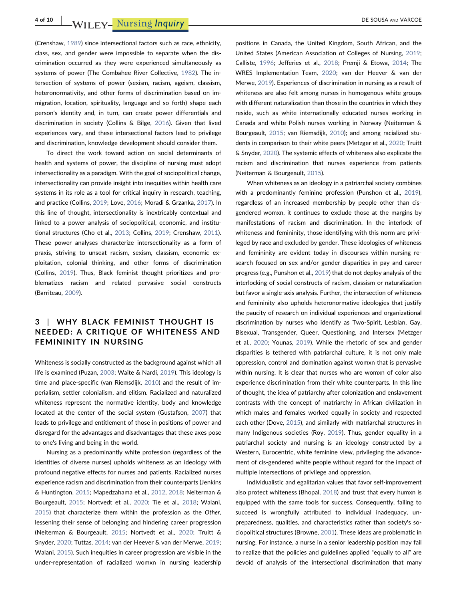(Crenshaw, [1989\)](#page-7-18) since intersectional factors such as race, ethnicity, class, sex, and gender were impossible to separate when the discrimination occurred as they were experienced simultaneously as systems of power (The Combahee River Collective, [1982\)](#page-9-8). The intersection of systems of power (sexism, racism, ageism, classism, heteronormativity, and other forms of discrimination based on immigration, location, spirituality, language and so forth) shape each person's identity and, in turn, can create power differentials and discrimination in society (Collins & Bilge, [2016](#page-7-19)). Given that lived experiences vary, and these intersectional factors lead to privilege and discrimination, knowledge development should consider them.

To direct the work toward action on social determinants of health and systems of power, the discipline of nursing must adopt intersectionality as a paradigm. With the goal of sociopolitical change, intersectionality can provide insight into inequities within health care systems in its role as a tool for critical inquiry in research, teaching, and practice (Collins, [2019;](#page-7-20) Love, [2016;](#page-8-15) Moradi & Grzanka, [2017](#page-8-21)). In this line of thought, intersectionality is inextricably contextual and linked to a power analysis of sociopolitical, economic, and institutional structures (Cho et al., [2013](#page-7-16); Collins, [2019](#page-7-20); Crenshaw, [2011](#page-7-17)). These power analyses characterize intersectionality as a form of praxis, striving to unseat racism, sexism, classism, economic exploitation, colonial thinking, and other forms of discrimination (Collins, [2019](#page-7-20)). Thus, Black feminist thought prioritizes and problematizes racism and related pervasive social constructs (Barriteau, [2009](#page-7-15)).

### 3 | WHY BLACK FEMINIST THOUGHT IS NEEDED: A CRITIQUE OF WHITENESS AND FEMININITY IN NURSING

Whiteness is socially constructed as the background against which all life is examined (Puzan, [2003](#page-9-13); Waite & Nardi, [2019](#page-9-14)). This ideology is time and place‐specific (van Riemsdijk, [2010\)](#page-9-15) and the result of imperialism, settler colonialism, and elitism. Racialized and naturalized whiteness represent the normative identity, body and knowledge located at the center of the social system (Gustafson, [2007](#page-8-22)) that leads to privilege and entitlement of those in positions of power and disregard for the advantages and disadvantages that these axes pose to one's living and being in the world.

Nursing as a predominantly white profession (regardless of the identities of diverse nurses) upholds whiteness as an ideology with profound negative effects for nurses and patients. Racialized nurses experience racism and discrimination from their counterparts (Jenkins & Huntington, [2015](#page-8-1); Mapedzahama et al., [2012](#page-8-23), [2018](#page-8-24); Neiterman & Bourgeault, [2015](#page-8-3); Nortvedt et al., [2020;](#page-8-4) Tie et al., [2018](#page-9-1); Walani, [2015](#page-9-3)) that characterize them within the profession as the Other, lessening their sense of belonging and hindering career progression (Neiterman & Bourgeault, [2015;](#page-8-3) Nortvedt et al., [2020;](#page-8-4) Truitt & Snyder, [2020;](#page-9-2) Tuttas, [2014;](#page-9-16) van der Heever & van der Merwe, [2019](#page-9-17); Walani, [2015\)](#page-9-3). Such inequities in career progression are visible in the under‐representation of racialized womxn in nursing leadership

positions in Canada, the United Kingdom, South African, and the United States (American Association of Colleges of Nursing, [2019;](#page-7-21) Calliste, [1996;](#page-7-22) Jefferies et al., [2018;](#page-8-25) Premji & Etowa, [2014](#page-8-26); The WRES Implementation Team, [2020](#page-9-18); van der Heever & van der Merwe, [2019\)](#page-9-17). Experiences of discrimination in nursing as a result of whiteness are also felt among nurses in homogenous white groups with different naturalization than those in the countries in which they reside, such as white internationally educated nurses working in Canada and white Polish nurses working in Norway (Neiterman & Bourgeault, [2015](#page-8-3); van Riemsdijk, [2010](#page-9-15)); and among racialized students in comparison to their white peers (Metzger et al., [2020;](#page-8-2) Truitt & Snyder, [2020\)](#page-9-2). The systemic effects of whiteness also explicate the racism and discrimination that nurses experience from patients (Neiterman & Bourgeault, [2015\)](#page-8-3).

When whiteness as an ideology in a patriarchal society combines with a predominantly feminine profession (Punshon et al., [2019\)](#page-9-19), regardless of an increased membership by people other than cisgendered womxn, it continues to exclude those at the margins by manifestations of racism and discrimination. In the interlock of whiteness and femininity, those identifying with this norm are privileged by race and excluded by gender. These ideologies of whiteness and femininity are evident today in discourses within nursing research focused on sex and/or gender disparities in pay and career progress (e.g., Punshon et al., [2019\)](#page-9-19) that do not deploy analysis of the interlocking of social constructs of racism, classism or naturalization but favor a single‐axis analysis. Further, the intersection of whiteness and femininity also upholds heteronormative ideologies that justify the paucity of research on individual experiences and organizational discrimination by nurses who identify as Two‐Spirit, Lesbian, Gay, Bisexual, Transgender, Queer, Questioning, and Intersex (Metzger et al., [2020](#page-8-2); Younas, [2019\)](#page-9-20). While the rhetoric of sex and gender disparities is tethered with patriarchal culture, it is not only male oppression, control and domination against womxn that is pervasive within nursing. It is clear that nurses who are womxn of color also experience discrimination from their white counterparts. In this line of thought, the idea of patriarchy after colonization and enslavement contrasts with the concept of matriarchy in African civilization in which males and females worked equally in society and respected each other (Dove, [2015\)](#page-8-16), and similarly with matriarchal structures in many Indigenous societies (Roy, [2019\)](#page-9-21). Thus, gender equality in a patriarchal society and nursing is an ideology constructed by a Western, Eurocentric, white feminine view, privileging the advancement of cis‐gendered white people without regard for the impact of multiple intersections of privilege and oppression.

Individualistic and egalitarian values that favor self‐improvement also protect whiteness (Bhopal, [2018](#page-7-0)) and trust that every humxn is equipped with the same tools for success. Consequently, failing to succeed is wrongfully attributed to individual inadequacy, unpreparedness, qualities, and characteristics rather than society's sociopolitical structures (Browne, [2001](#page-7-23)). These ideas are problematic in nursing. For instance, a nurse in a senior leadership position may fail to realize that the policies and guidelines applied "equally to all" are devoid of analysis of the intersectional discrimination that many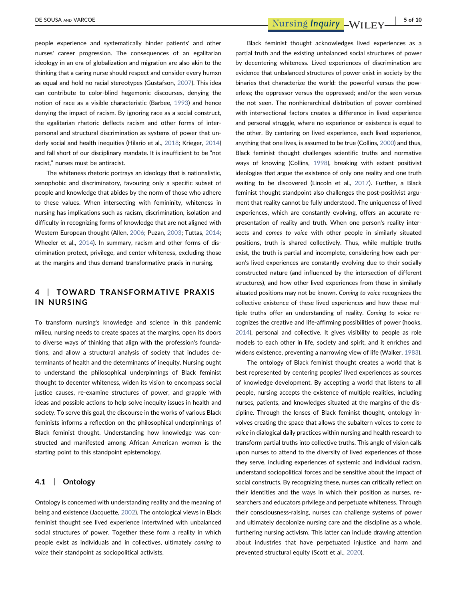people experience and systematically hinder patients' and other nurses' career progression. The consequences of an egalitarian ideology in an era of globalization and migration are also akin to the thinking that a caring nurse should respect and consider every humxn as equal and hold no racial stereotypes (Gustafson, [2007\)](#page-8-22). This idea can contribute to color‐blind hegemonic discourses, denying the notion of race as a visible characteristic (Barbee, [1993](#page-7-3)) and hence denying the impact of racism. By ignoring race as a social construct, the egalitarian rhetoric deflects racism and other forms of interpersonal and structural discrimination as systems of power that underly social and health inequities (Hilario et al., [2018](#page-8-27); Krieger, [2014](#page-8-28)) and fall short of our disciplinary mandate. It is insufficient to be "not racist," nurses must be antiracist.

The whiteness rhetoric portrays an ideology that is nationalistic, xenophobic and discriminatory, favouring only a specific subset of people and knowledge that abides by the norm of those who adhere to these values. When intersecting with femininity, whiteness in nursing has implications such as racism, discrimination, isolation and difficulty in recognizing forms of knowledge that are not aligned with Western European thought (Allen, [2006;](#page-7-24) Puzan, [2003;](#page-9-13) Tuttas, [2014](#page-9-16); Wheeler et al., [2014](#page-9-22)). In summary, racism and other forms of discrimination protect, privilege, and center whiteness, excluding those at the margins and thus demand transformative praxis in nursing.

### 4 | TOWARD TRANSFORMATIVE PRAXIS IN NURSING

To transform nursing's knowledge and science in this pandemic milieu, nursing needs to create spaces at the margins, open its doors to diverse ways of thinking that align with the profession's foundations, and allow a structural analysis of society that includes determinants of health and the determinants of inequity. Nursing ought to understand the philosophical underpinnings of Black feminist thought to decenter whiteness, widen its vision to encompass social justice causes, re-examine structures of power, and grapple with ideas and possible actions to help solve inequity issues in health and society. To serve this goal, the discourse in the works of various Black feminists informs a reflection on the philosophical underpinnings of Black feminist thought. Understanding how knowledge was constructed and manifested among African American womxn is the starting point to this standpoint epistemology.

#### 4.1 | Ontology

Ontology is concerned with understanding reality and the meaning of being and existence (Jacquette, [2002](#page-8-29)). The ontological views in Black feminist thought see lived experience intertwined with unbalanced social structures of power. Together these form a reality in which people exist as individuals and in collectives, ultimately coming to voice their standpoint as sociopolitical activists.

Black feminist thought acknowledges lived experiences as a partial truth and the existing unbalanced social structures of power by decentering whiteness. Lived experiences of discrimination are evidence that unbalanced structures of power exist in society by the binaries that characterize the world: the powerful versus the powerless; the oppressor versus the oppressed; and/or the seen versus the not seen. The nonhierarchical distribution of power combined with intersectional factors creates a difference in lived experience and personal struggle, where no experience or existence is equal to the other. By centering on lived experience, each lived experience, anything that one lives, is assumed to be true (Collins, [2000\)](#page-7-6) and thus, Black feminist thought challenges scientific truths and normative ways of knowing (Collins, [1998\)](#page-7-11), breaking with extant positivist ideologies that argue the existence of only one reality and one truth waiting to be discovered (Lincoln et al., [2017\)](#page-8-30). Further, a Black feminist thought standpoint also challenges the post-positivist argument that reality cannot be fully understood. The uniqueness of lived experiences, which are constantly evolving, offers an accurate representation of reality and truth. When one person's reality intersects and comes to voice with other people in similarly situated positions, truth is shared collectively. Thus, while multiple truths exist, the truth is partial and incomplete, considering how each person's lived experiences are constantly evolving due to their socially constructed nature (and influenced by the intersection of different structures), and how other lived experiences from those in similarly situated positions may not be known. Coming to voice recognizes the collective existence of these lived experiences and how these multiple truths offer an understanding of reality. Coming to voice recognizes the creative and life‐affirming possibilities of power (hooks, [2014](#page-8-14)), personal and collective. It gives visibility to people as role models to each other in life, society and spirit, and it enriches and widens existence, preventing a narrowing view of life (Walker, [1983\)](#page-9-10).

The ontology of Black feminist thought creates a world that is best represented by centering peoples' lived experiences as sources of knowledge development. By accepting a world that listens to all people, nursing accepts the existence of multiple realities, including nurses, patients, and knowledges situated at the margins of the discipline. Through the lenses of Black feminist thought, ontology involves creating the space that allows the subaltern voices to come to voice in dialogical daily practices within nursing and health research to transform partial truths into collective truths. This angle of vision calls upon nurses to attend to the diversity of lived experiences of those they serve, including experiences of systemic and individual racism, understand sociopolitical forces and be sensitive about the impact of social constructs. By recognizing these, nurses can critically reflect on their identities and the ways in which their position as nurses, researchers and educators privilege and perpetuate whiteness. Through their consciousness‐raising, nurses can challenge systems of power and ultimately decolonize nursing care and the discipline as a whole, furthering nursing activism. This latter can include drawing attention about industries that have perpetuated injustice and harm and prevented structural equity (Scott et al., [2020](#page-9-23)).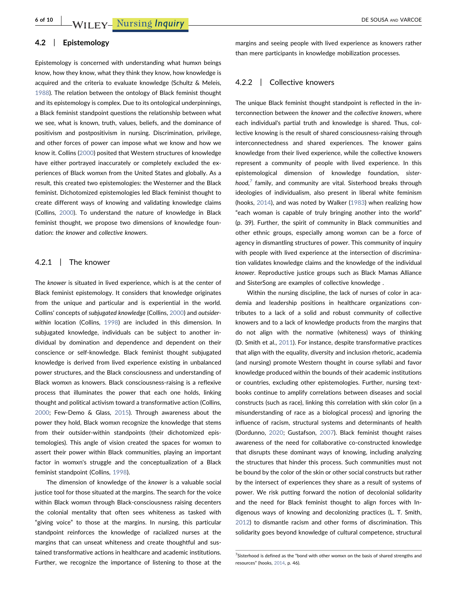### 4.2 | Epistemology

Epistemology is concerned with understanding what humxn beings know, how they know, what they think they know, how knowledge is acquired and the criteria to evaluate knowledge (Schultz & Meleis, [1988](#page-9-24)). The relation between the ontology of Black feminist thought and its epistemology is complex. Due to its ontological underpinnings, a Black feminist standpoint questions the relationship between what we see, what is known, truth, values, beliefs, and the dominance of positivism and postpositivism in nursing. Discrimination, privilege, and other forces of power can impose what we know and how we know it. Collins ([2000](#page-7-6)) posited that Western structures of knowledge have either portrayed inaccurately or completely excluded the experiences of Black womxn from the United States and globally. As a result, this created two epistemologies: the Westerner and the Black feminist. Dichotomized epistemologies led Black feminist thought to create different ways of knowing and validating knowledge claims (Collins, [2000\)](#page-7-6). To understand the nature of knowledge in Black feminist thought, we propose two dimensions of knowledge foundation: the knower and collective knowers.

### 4.2.1 | The knower

The knower is situated in lived experience, which is at the center of Black feminist epistemology. It considers that knowledge originates from the unique and particular and is experiential in the world. Collins' concepts of subjugated knowledge (Collins, [2000\)](#page-7-6) and outsider‐ within location (Collins, [1998](#page-7-11)) are included in this dimension. In subjugated knowledge, individuals can be subject to another individual by domination and dependence and dependent on their conscience or self‐knowledge. Black feminist thought subjugated knowledge is derived from lived experience existing in unbalanced power structures, and the Black consciousness and understanding of Black womxn as knowers. Black consciousness‐raising is a reflexive process that illuminates the power that each one holds, linking thought and political activism toward a transformative action (Collins, [2000](#page-7-6); Few‐Demo & Glass, [2015](#page-8-12)). Through awareness about the power they hold, Black womxn recognize the knowledge that stems from their outsider-within standpoints (their dichotomized epistemologies). This angle of vision created the spaces for womxn to assert their power within Black communities, playing an important factor in womxn's struggle and the conceptualization of a Black feminist standpoint (Collins, [1998](#page-7-11)).

The dimension of knowledge of the knower is a valuable social justice tool for those situated at the margins. The search for the voice within Black womxn through Black-consciousness raising decenters the colonial mentality that often sees whiteness as tasked with "giving voice" to those at the margins. In nursing, this particular standpoint reinforces the knowledge of racialized nurses at the margins that can unseat whiteness and create thoughtful and sustained transformative actions in healthcare and academic institutions. Further, we recognize the importance of listening to those at the

margins and seeing people with lived experience as knowers rather than mere participants in knowledge mobilization processes.

### 4.2.2 | Collective knowers

The unique Black feminist thought standpoint is reflected in the interconnection between the knower and the collective knowers, where each individual's partial truth and knowledge is shared. Thus, collective knowing is the result of shared consciousness‐raising through interconnectedness and shared experiences. The knower gains knowledge from their lived experience, while the collective knowers represent a community of people with lived experience. In this epistemological dimension of knowledge foundation, sister $hood$ , family, and community are vital. Sisterhood breaks through ideologies of individualism, also present in liberal white feminism (hooks, [2014](#page-8-14)), and was noted by Walker ([1983](#page-9-10)) when realizing how "each woman is capable of truly bringing another into the world" (p. 39). Further, the spirit of community in Black communities and other ethnic groups, especially among womxn can be a force of agency in dismantling structures of power. This community of inquiry with people with lived experience at the intersection of discrimination validates knowledge claims and the knowledge of the individual knower. Reproductive justice groups such as Black Mamas Alliance and SisterSong are examples of collective knowledge .

Within the nursing discipline, the lack of nurses of color in academia and leadership positions in healthcare organizations contributes to a lack of a solid and robust community of collective knowers and to a lack of knowledge products from the margins that do not align with the normative (whiteness) ways of thinking (D. Smith et al., [2011\)](#page-9-25). For instance, despite transformative practices that align with the equality, diversity and inclusion rhetoric, academia (and nursing) promote Western thought in course syllabi and favor knowledge produced within the bounds of their academic institutions or countries, excluding other epistemologies. Further, nursing textbooks continue to amplify correlations between diseases and social constructs (such as race), linking this correlation with skin color (in a misunderstanding of race as a biological process) and ignoring the influence of racism, structural systems and determinants of health (Dordunno, [2020](#page-8-31); Gustafson, [2007](#page-8-22)). Black feminist thought raises awareness of the need for collaborative co-constructed knowledge that disrupts these dominant ways of knowing, including analyzing the structures that hinder this process. Such communities must not be bound by the color of the skin or other social constructs but rather by the intersect of experiences they share as a result of systems of power. We risk putting forward the notion of decolonial solidarity and the need for Black feminist thought to align forces with Indigenous ways of knowing and decolonizing practices (L. T. Smith, [2012](#page-9-26)) to dismantle racism and other forms of discrimination. This solidarity goes beyond knowledge of cultural competence, structural

<span id="page-5-0"></span><sup>&</sup>lt;sup>7</sup>Sisterhood is defined as the "bond with other womxn on the basis of shared strengths and resources" (hooks, [2014](#page-8-14), p. 46).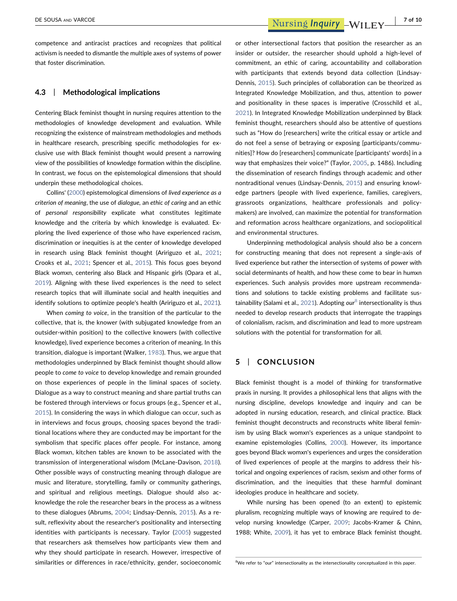competence and antiracist practices and recognizes that political activism is needed to dismantle the multiple axes of systems of power that foster discrimination.

### 4.3 | Methodological implications

Centering Black feminist thought in nursing requires attention to the methodologies of knowledge development and evaluation. While recognizing the existence of mainstream methodologies and methods in healthcare research, prescribing specific methodologies for exclusive use with Black feminist thought would present a narrowing view of the possibilities of knowledge formation within the discipline. In contrast, we focus on the epistemological dimensions that should underpin these methodological choices.

Collins' ([2000](#page-7-6)) epistemological dimensions of lived experience as a criterion of meaning, the use of dialogue, an ethic of caring and an ethic of personal responsibility explicate what constitutes legitimate knowledge and the criteria by which knowledge is evaluated. Exploring the lived experience of those who have experienced racism, discrimination or inequities is at the center of knowledge developed in research using Black feminist thought (Aririguzo et al., [2021](#page-7-25); Crooks et al., [2021;](#page-8-32) Spencer et al., [2015\)](#page-9-27). This focus goes beyond Black womxn, centering also Black and Hispanic girls (Opara et al., [2019](#page-8-33)). Aligning with these lived experiences is the need to select research topics that will illuminate social and health inequities and identify solutions to optimize people's health (Aririguzo et al., [2021](#page-7-25)).

When coming to voice, in the transition of the particular to the collective, that is, the knower (with subjugated knowledge from an outsider‐within position) to the collective knowers (with collective knowledge), lived experience becomes a criterion of meaning. In this transition, dialogue is important (Walker, [1983\)](#page-9-10). Thus, we argue that methodologies underpinned by Black feminist thought should allow people to come to voice to develop knowledge and remain grounded on those experiences of people in the liminal spaces of society. Dialogue as a way to construct meaning and share partial truths can be fostered through interviews or focus groups (e.g., Spencer et al., [2015\)](#page-9-27). In considering the ways in which dialogue can occur, such as in interviews and focus groups, choosing spaces beyond the traditional locations where they are conducted may be important for the symbolism that specific places offer people. For instance, among Black womxn, kitchen tables are known to be associated with the transmission of intergenerational wisdom (McLane‐Davison, [2018](#page-8-34)). Other possible ways of constructing meaning through dialogue are music and literature, storytelling, family or community gatherings, and spiritual and religious meetings. Dialogue should also acknowledge the role the researcher bears in the process as a witness to these dialogues (Abrums, [2004;](#page-7-26) Lindsay‐Dennis, [2015](#page-8-35)). As a result, reflexivity about the researcher's positionality and intersecting identities with participants is necessary. Taylor [\(2005](#page-9-28)) suggested that researchers ask themselves how participants view them and why they should participate in research. However, irrespective of similarities or differences in race/ethnicity, gender, socioeconomic

DE SOUSA AND VARCOE **1999 TO A SOUSA AND VARCOE 1999 TO A SOUSA AND VARCOE** 

or other intersectional factors that position the researcher as an insider or outsider, the researcher should uphold a high‐level of commitment, an ethic of caring, accountability and collaboration with participants that extends beyond data collection (Lindsay‐ Dennis, [2015](#page-8-35)). Such principles of collaboration can be theorized as Integrated Knowledge Mobilization, and thus, attention to power and positionality in these spaces is imperative (Crosschild et al., [2021\)](#page-8-36). In Integrated Knowledge Mobilization underpinned by Black feminist thought, researchers should also be attentive of questions such as "How do [researchers] write the critical essay or article and do not feel a sense of betraying or exposing [participants/communities]? How do [researchers] communicate [participants' words] in a way that emphasizes their voice?" (Taylor, [2005,](#page-9-28) p. 1486). Including the dissemination of research findings through academic and other nontraditional venues (Lindsay‐Dennis, [2015\)](#page-8-35) and ensuring knowledge partners (people with lived experience, families, caregivers, grassroots organizations, healthcare professionals and policymakers) are involved, can maximize the potential for transformation and reformation across healthcare organizations, and sociopolitical and environmental structures.

Underpinning methodological analysis should also be a concern for constructing meaning that does not represent a single‐axis of lived experience but rather the intersection of systems of power with social determinants of health, and how these come to bear in humxn experiences. Such analysis provides more upstream recommendations and solutions to tackle existing problems and facilitate sus-tainability (Salami et al., [2021](#page-9-29)). Adopting our<sup>[8](#page-6-0)</sup> intersectionality is thus needed to develop research products that interrogate the trappings of colonialism, racism, and discrimination and lead to more upstream solutions with the potential for transformation for all.

### 5 | CONCLUSION

Black feminist thought is a model of thinking for transformative praxis in nursing. It provides a philosophical lens that aligns with the nursing discipline, develops knowledge and inquiry and can be adopted in nursing education, research, and clinical practice. Black feminist thought deconstructs and reconstructs white liberal feminism by using Black womxn's experiences as a unique standpoint to examine epistemologies (Collins, [2000](#page-7-6)). However, its importance goes beyond Black womxn's experiences and urges the consideration of lived experiences of people at the margins to address their historical and ongoing experiences of racism, sexism and other forms of discrimination, and the inequities that these harmful dominant ideologies produce in healthcare and society.

While nursing has been opened (to an extent) to epistemic pluralism, recognizing multiple ways of knowing are required to de-velop nursing knowledge (Carper, [2009;](#page-7-27) Jacobs-Kramer & Chinn, 1988; White, [2009](#page-9-7)), it has yet to embrace Black feminist thought.

<span id="page-6-0"></span><sup>&</sup>lt;sup>8</sup>We refer to "our" intersectionality as the intersectionality conceptualized in this paper.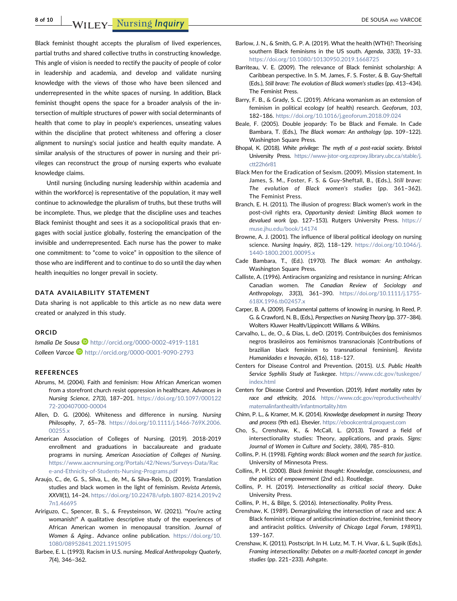8 of 10 MILEY- Nursing *Inquiry* **Example 2008** DE SOUSA AND VARCOE

Black feminist thought accepts the pluralism of lived experiences, partial truths and shared collective truths in constructing knowledge. This angle of vision is needed to rectify the paucity of people of color in leadership and academia, and develop and validate nursing knowledge with the views of those who have been silenced and underrepresented in the white spaces of nursing. In addition, Black feminist thought opens the space for a broader analysis of the intersection of multiple structures of power with social determinants of health that come to play in people's experiences, unseating values within the discipline that protect whiteness and offering a closer alignment to nursing's social justice and health equity mandate. A similar analysis of the structures of power in nursing and their privileges can reconstruct the group of nursing experts who evaluate knowledge claims.

Until nursing (including nursing leadership within academia and within the workforce) is representative of the population, it may well continue to acknowledge the pluralism of truths, but these truths will be incomplete. Thus, we pledge that the discipline uses and teaches Black feminist thought and sees it as a sociopolitical praxis that engages with social justice globally, fostering the emancipation of the invisible and underrepresented. Each nurse has the power to make one commitment: to "come to voice" in opposition to the silence of those who are indifferent and to continue to do so until the day when health inequities no longer prevail in society.

### DATA AVAILABILITY STATEMENT

Data sharing is not applicable to this article as no new data were created or analyzed in this study.

#### ORCID

Ismalia De Sousa  $\blacksquare$  <http://orcid.org/0000-0002-4919-1181> Colleen Varcoe D <http://orcid.org/0000-0001-9090-2793>

#### REFERENCES

- <span id="page-7-26"></span>Abrums, M. (2004). Faith and feminism: How African American women from a storefront church resist oppression in healthcare. Advances in Nursing Science, 27(3), 187–201. [https://doi.org/10.1097/000122](https://doi.org/10.1097/00012272-200407000-00004) 72‐[200407000](https://doi.org/10.1097/00012272-200407000-00004)‐00004
- <span id="page-7-24"></span>Allen, D. G. (2006). Whiteness and difference in nursing. Nursing Philosophy, 7, 65-78. [https://doi.org/10.1111/j.1466](https://doi.org/10.1111/j.1466-769X.2006.00255.x)-769X.2006. [00255.x](https://doi.org/10.1111/j.1466-769X.2006.00255.x)
- <span id="page-7-21"></span>American Association of Colleges of Nursing. (2019). 2018‐2019 enrollment and graduations in baccalaureate and graduate programs in nursing. American Association of Colleges of Nursing. [https://www.aacnnursing.org/Portals/42/News/Surveys](https://www.aacnnursing.org/Portals/42/News/Surveys-Data/Race-and-Ethnicity-of-Students-Nursing-Programs.pdf)‐Data/Rac e‐and‐Ethnicity‐of‐Students‐Nursing‐[Programs.pdf](https://www.aacnnursing.org/Portals/42/News/Surveys-Data/Race-and-Ethnicity-of-Students-Nursing-Programs.pdf)
- <span id="page-7-4"></span>Araujo, C., de, G. S., Silva, L., de, M., & Silva‐Reis, D. (2019). Translation studies and black women in the light of feminism. Revista Artemis, XXVII(1), 14–24. [https://doi.org/10.22478/ufpb.1807](https://doi.org/10.22478/ufpb.1807-8214.2019v27n1.46695)‐8214.2019v2 [7n1.46695](https://doi.org/10.22478/ufpb.1807-8214.2019v27n1.46695)
- <span id="page-7-25"></span>Aririguzo, C., Spencer, B. S., & Freysteinson, W. (2021). "You're acting womanish!" A qualitative descriptive study of the experiences of African American women in menopausal transition. Journal of Women & Aging.. Advance online publication. [https://doi.org/10.](https://doi.org/10.1080/08952841.2021.1915095) [1080/08952841.2021.1915095](https://doi.org/10.1080/08952841.2021.1915095)
- <span id="page-7-3"></span>Barbee, E. L. (1993). Racism in U.S. nursing. Medical Anthropology Quaterly, 7(4), 346–362.
- <span id="page-7-9"></span>Barlow, J. N., & Smith, G. P. A. (2019). What the health (WTH)?: Theorising southern Black feminisms in the US south. Agenda, 33(3), 19–33. <https://doi.org/10.1080/10130950.2019.1668725>
- <span id="page-7-15"></span>Barriteau, V. E. (2009). The relevance of Black feminist scholarship: A Caribbean perspective. In S. M. James, F. S. Foster, & B. Guy‐Sheftall (Eds.), Still brave: The evolution of Black women's studies (pp. 413–434). The Feminist Press.
- <span id="page-7-13"></span>Barry, F. B., & Grady, S. C. (2019). Africana womanism as an extension of feminism in political ecology (of health) research. Geoforum, 103, 182–186. <https://doi.org/10.1016/j.geoforum.2018.09.024>
- <span id="page-7-12"></span>Beale, F. (2005). Double jeopardy: To be Black and Female. In Cade Bambara, T. (Eds.), The Black woman: An anthology (pp. 109–122). Washington Square Press.
- <span id="page-7-0"></span>Bhopal, K. (2018). White privilege: The myth of a post-racial society. Bristol University Press. https://www‐jstor‐[org.ezproxy.library.ubc.ca/stable/j.](https://www-jstor-org.ezproxy.library.ubc.ca/stable/j.ctt22h6r81) [ctt22h6r81](https://www-jstor-org.ezproxy.library.ubc.ca/stable/j.ctt22h6r81)
- <span id="page-7-7"></span>Black Men for the Eradication of Sexism. (2009). Mission statement. In James, S. M., Foster, F. S. & Guy‐Sheftall, B., (Eds.), Still brave: The evolution of Black women's studies (pp. 361–362). The Feminist Press.
- <span id="page-7-10"></span>Branch, E. H. (2011). The illusion of progress: Black women's work in the post‐civil rights era, Opportunity denied: Limiting Black women to devalued work (pp. 127–153). Rutgers University Press. [https://](https://muse.jhu.edu/book/14174) [muse.jhu.edu/book/14174](https://muse.jhu.edu/book/14174)
- <span id="page-7-23"></span>Browne, A. J. (2001). The influence of liberal political ideology on nursing science. Nursing Inquiry, 8(2), 118–129. [https://doi.org/10.1046/j.](https://doi.org/10.1046/j.1440-1800.2001.00095.x) 1440‐[1800.2001.00095.x](https://doi.org/10.1046/j.1440-1800.2001.00095.x)
- <span id="page-7-8"></span>Cade Bambara, T., (Ed.). (1970). The Black woman: An anthology. Washington Square Press.
- <span id="page-7-22"></span>Calliste, A. (1996). Antiracism organizing and resistance in nursing: African Canadian women. The Canadian Review of Sociology and Anthropology, 33(3), 361–390. [https://doi.org/10.1111/j.1755](https://doi.org/10.1111/j.1755-618X.1996.tb02457.x)‐ [618X.1996.tb02457.x](https://doi.org/10.1111/j.1755-618X.1996.tb02457.x)
- <span id="page-7-27"></span>Carper, B. A. (2009). Fundamental patterns of knowing in nursing. In Reed, P. G. & Crawford, N. B., (Eds.), Perspectives on Nursing Theory (pp. 377–384). Wolters Kluwer Health/Lippincott Williams & Wilkins.
- <span id="page-7-14"></span>Carvalho, L., de, O., & Dias, L. deO. (2019). Contribuições dos feminismos negros brasileiros aos feminismos transnacionais [Contributions of brazilian black feminism to transnational feminism]. Revista Humanidades e Inovação, 6(16), 118–127.
- <span id="page-7-5"></span>Centers for Disease Control and Prevention. (2015). U.S. Public Health Service Syphilis Study at Tuskegee. [https://www.cdc.gov/tuskegee/](https://www.cdc.gov/tuskegee/index.html) [index.html](https://www.cdc.gov/tuskegee/index.html)
- <span id="page-7-1"></span>Centers for Disease Control and Prevention. (2019). Infant mortality rates by race and ethnicity, 2016. [https://www.cdc.gov/reproductivehealth/](https://www.cdc.gov/reproductivehealth/maternalinfanthealth/infantmortality.htm) [maternalinfanthealth/infantmortality.htm](https://www.cdc.gov/reproductivehealth/maternalinfanthealth/infantmortality.htm)
- <span id="page-7-2"></span>Chinn, P. L., & Kramer, M. K. (2014). Knowledge development in nursing: Theory and process (9th ed.). Elsevier. <https://ebookcentral.proquest.com>
- <span id="page-7-16"></span>Cho, S., Crenshaw, K., & McCall, L. (2013). Toward a field of intersectionality studies: Theory, applications, and praxis. Signs: Journal of Women in Culture and Society, 38(4), 785–810.
- <span id="page-7-11"></span>Collins, P. H. (1998). Fighting words: Black women and the search for justice. University of Minnesota Press.
- <span id="page-7-6"></span>Collins, P. H. (2000). Black feminist thought: Knowledge, consciousness, and the politics of empowerment (2nd ed.). Routledge.
- <span id="page-7-20"></span>Collins, P. H. (2019). Intersectionality as critical social theory. Duke University Press.
- <span id="page-7-19"></span>Collins, P. H., & Bilge, S. (2016). Intersectionality. Polity Press.
- <span id="page-7-18"></span>Crenshaw, K. (1989). Demarginalizing the intersection of race and sex: A Black feminist critique of antidiscrimination doctrine, feminist theory and antiracist politics. University of Chicago Legal Forum, 1989(1), 139–167.
- <span id="page-7-17"></span>Crenshaw, K. (2011). Postscript. In H. Lutz, M. T. H. Vivar, & L. Supik (Eds.), Framing intersectionality: Debates on a multi-faceted concept in gender studies (pp. 221–233). Ashgate.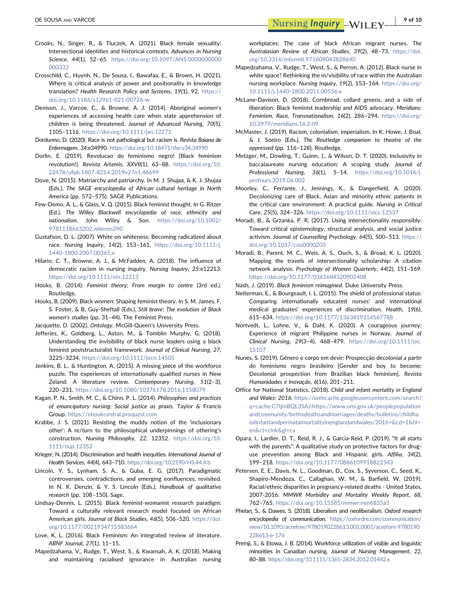- <span id="page-8-32"></span>Crooks, N., Singer, R., & Tluczek, A. (2021). Black female sexuality: Intersectional identities and historical contexts. Advances in Nursing Science, 44(1), 52–65. [https://doi.org/10.1097/ANS.0000000000](https://doi.org/10.1097/ANS.0000000000000332) [000332](https://doi.org/10.1097/ANS.0000000000000332)
- <span id="page-8-36"></span>Crosschild, C., Huynh, N., De Sousa, I., Bawafaa, E., & Brown, H. (2021). Where is critical analysis of power and positionality in knowledge translation? Health Research Policy and Systems, 19(1), 92. [https://](https://doi.org/10.1186/s12961-021-00726-w) [doi.org/10.1186/s12961](https://doi.org/10.1186/s12961-021-00726-w)‐021‐00726‐w
- <span id="page-8-7"></span>Denison, J., Varcoe, C., & Browne, A. J. (2014). Aboriginal women's experiences of accessing health care when state apprehension of children is being threatened. Journal of Advanced Nursing, 70(5), 1105–1116. <https://doi.org/10.1111/jan.12271>
- <span id="page-8-31"></span>Dordunno, D. (2020). Race is not pathological but racism is. Revista Baiana de Enfermagem, 34:e34990. <https://doi.org/10.18471/rbe.v34.34990>
- <span id="page-8-17"></span>Dorlin, E. (2019). Revolucao do feminismo negro! [Black feminism revolution!]. Revista Artemis, XXVII(1), 63–88. [https://doi.org/10.](https://doi.org/10.22478/ufpb.1807-8214.2019v27n1.46699) 22478/ufpb.1807‐[8214.2019v27n1.46699](https://doi.org/10.22478/ufpb.1807-8214.2019v27n1.46699)
- <span id="page-8-16"></span>Dove, N. (2015). Matriarchy and patriarchy. In M. J. Shujaa, & K. J. Shujaa (Eds.), The SAGE encyclopedia of African cultural heritage in North America (pp. 572–575). SAGE Publications.
- <span id="page-8-12"></span>Few‐Demo, A. L., & Glass, V. Q. (2015). Black feminist thought. In G. Ritzer (Ed.), The Willey Blackwell encyclopedia of race, ethnicity and nationalism. John Wiley & Son. [https://doi.org/10.1002/](https://doi.org/10.1002/9781118663202.wberen390) [9781118663202.wberen390](https://doi.org/10.1002/9781118663202.wberen390)
- <span id="page-8-22"></span>Gustafson, D. L. (2007). White on whiteness: Becoming radicalized about race. Nursing Inquiry, 14(2), 153–161. [https://doi.org/10.1111/j.](https://doi.org/10.1111/j.1440-1800.2007.00365.x) 1440‐[1800.2007.00365.x](https://doi.org/10.1111/j.1440-1800.2007.00365.x)
- <span id="page-8-27"></span>Hilario, C. T., Browne, A. J., & McFadden, A. (2018). The influence of democratic racism in nursing inquiry. Nursing Inquiry, 25:e12213. <https://doi.org/10.1111/nin.12213>
- <span id="page-8-14"></span>Hooks, B. (2014). Feminist theory: From margin to centre (3rd ed.). Routledge.
- <span id="page-8-13"></span>Hooks, B. (2009). Black women: Shaping feminist theory. In S. M. James, F. S. Foster, & B. Guy‐Sheftall (Eds.), Still brave: The evolution of Black women's studies (pp. 31–44). The Feminist Press.
- <span id="page-8-29"></span>Jacquette, D. (2002). Ontology. McGill‐Queen's University Press.
- <span id="page-8-25"></span>Jefferies, K., Goldberg, L., Aston, M., & Tomblin Murphy, G. (2018). Understanding the invisibility of black nurse leaders using a black feminist poststructuralist framework. Journal of Clinical Nursing, 27, 3225–3234. <https://doi.org/10.1111/jocn.14505>
- <span id="page-8-1"></span>Jenkins, B. L., & Huntington, A. (2015). A missing piece of the workforce puzzle. The experiences of internationally qualified nurses in New Zeland: A literature review. Contemporary Nursing, 51(2–3), 220–231. <https://doi.org/10.1080/10376178.2016.1158079>
- <span id="page-8-11"></span>Kagan, P. N., Smith, M. C., & Chinn, P. L. (2014). Philosophies and practices of emancipatory nursing: Social justice as praxis. Taylor & Francis Group. <https://ebookcentral.proquest.com>
- <span id="page-8-0"></span>Krabbe, J. S. (2021). Resisting the muddy notion of the 'inclusionary other': A re/turn to the philosophical underpinnings of othering's construction. Nursing Philosophy, 22, 12352. [https://doi.org/10.](https://doi.org/10.1111/nup.12352) [1111/nup.12352](https://doi.org/10.1111/nup.12352)
- <span id="page-8-28"></span>Krieger, N. (2014). Discrimination and health inequities. International Journal of Health Services, 44(4), 643–710. <https://doi.org/10.2190/HS.44.4.b>
- <span id="page-8-30"></span>Lincoln, Y. S., Lynham, S. A., & Guba, E. G. (2017). Paradigmatic controversies, contradictions, and emerging eonfluences, revisited. In N. K. Denzin, & Y. S. Lincoln (Eds.), Handbook of qualitative research (pp. 108–150). Sage.
- <span id="page-8-35"></span>Lindsay‐Dennis, L. (2015). Black feminist‐womanist research paradigm: Toward a culturally relevant research model focused on African American girls. Journal of Black Studies, 46(5), 506–520. [https://doi.](https://doi.org/10.1177/0021934715583664) [org/10.1177/0021934715583664](https://doi.org/10.1177/0021934715583664)
- <span id="page-8-15"></span>Love, K. L. (2016). Black Feminism: An integrated review of literature. ABNF Journal, 27(1), 11–15.
- <span id="page-8-24"></span>Mapedzahama, V., Rudge, T., West, S., & Kwansah, A. K. (2018). Making and maintaining racialised ignorance in Australian nursing

workplaces: The case of black African migrant nurses. The Australasian Review of African Studies, 39(2), 48–73. [https://doi.](https://doi.org/10.3316/informit.971609043828640) [org/10.3316/informit.971609043828640](https://doi.org/10.3316/informit.971609043828640)

- <span id="page-8-23"></span>Mapedzahama, V., Rudge, T., West, S., & Perron, A. (2012). Black nurse in white space? Rethinking the in/visibility of race within the Australian nursing workplace. Nursing Inquiry, 19(2), 153–164. [https://doi.org/](https://doi.org/10.1111/j.1440-1800.2011.00556.x) 10.1111/j.1440‐[1800.2011.00556.x](https://doi.org/10.1111/j.1440-1800.2011.00556.x)
- <span id="page-8-34"></span>McLane‐Davison, D. (2018). Cornbread, collard greens, and a side of liberation: Black feminist leadership and AIDS advocacy. Meridians: Feminism, Race, Transnationalism, 16(2), 286–294. [https://doi.org/](https://doi.org/10.2979/meridians.16.2.09) [10.2979/meridians.16.2.09](https://doi.org/10.2979/meridians.16.2.09)
- <span id="page-8-6"></span>McMaster, J. (2019). Racism, colonialism, imperialism. In K. Howe, J. Boal, & J. Soeiro (Eds.), The Routledge companion to theatre of the oppressed (pp. 116–128). Routledge.
- <span id="page-8-2"></span>Metzger, M., Dowling, T., Guinn, J., & Wilson, D. T. (2020). Inclusivity in baccalaureate nursing education: A scoping study. Journal of Professional Nursing, 36(1), 5–14. [https://doi.org/10.1016/j.](https://doi.org/10.1016/j.profnurs.2019.06.002) [profnurs.2019.06.002](https://doi.org/10.1016/j.profnurs.2019.06.002)
- <span id="page-8-10"></span>Moorley, C., Ferrante, J., Jennings, K., & Dangerfield, A. (2020). Decolonizing care of Black, Asian and minority ethnic patients in the critical care environment: A practical guide. Nursing in Critical Care, 25(5), 324–326. <https://doi.org/10.1111/nicc.12537>
- <span id="page-8-21"></span>Moradi, B., & Grzanka, P. R. (2017). Using intersectionality responsibly: Toward critical epistemology, structural analysis, and social justice activism. Journal of Counselling Psychology, 64(5), 500–513. [https://](https://doi.org/10.1037/cou0000203) [doi.org/10.1037/cou0000203](https://doi.org/10.1037/cou0000203)
- <span id="page-8-20"></span>Moradi, B., Parent, M. C., Weis, A. S., Ouch, S., & Broad, K. L. (2020). Mapping the travels of intersectionality scholarship: A citation network analysis. Psychology of Women Quarterly, 44(2), 151–169. <https://doi.org/10.1177/0361684320902408>
- <span id="page-8-19"></span>Nash, J. (2019). Black feminism reimagined. Duke University Press.
- <span id="page-8-3"></span>Neiterman, E., & Bourgeault, I. L. (2015). The shield of professional status: Comparing internationally educated nurses' and international medical graduates' experiences of discrimination. Health, 19(6), 615–634. <https://doi.org/10.1177/1363459314567788>
- <span id="page-8-4"></span>Nortvedt, L., Lohne, V., & Dahl, K. (2020). A courageous journey: Experience of migrant Philippine nurses in Norway. Journal of Clinical Nursing, 29(3–4), 468–479. [https://doi.org/10.1111/joc.](https://doi.org/10.1111/joc.15107) [15107](https://doi.org/10.1111/joc.15107)
- <span id="page-8-18"></span>Nunes, S. (2019). Gênero e corpo em devir: Prospecção decolonial a partir do feminismo negro brasileiro [Gender and boy to become: Decolonial prospection from Brazilian black feminism]. Revista Humanidades e Inovação, 6(16), 201–211.
- <span id="page-8-8"></span>Office for National Statistics. (2018). Child and infant mortality in England and Wales: 2016. [https://webcache.googleusercontent.com/search?](https://webcache.googleusercontent.com/search?q=cache:C7IjmBQL3SAJ:https://www.ons.gov.uk/peoplepopulationandcommunity/birthsdeathsandmarriages/deaths/bulletins/childhoodinfantandperinatalmortalityinenglandandwales/2016%2B%26cd=1%26hl=en%26ct=clnk%26gl=ca) [q=cache:C7IjmBQL3SAJ:https://www.ons.gov.uk/peoplepopulation](https://webcache.googleusercontent.com/search?q=cache:C7IjmBQL3SAJ:https://www.ons.gov.uk/peoplepopulationandcommunity/birthsdeathsandmarriages/deaths/bulletins/childhoodinfantandperinatalmortalityinenglandandwales/2016%2B%26cd=1%26hl=en%26ct=clnk%26gl=ca) [andcommunity/birthsdeathsandmarriages/deaths/bulletins/childho](https://webcache.googleusercontent.com/search?q=cache:C7IjmBQL3SAJ:https://www.ons.gov.uk/peoplepopulationandcommunity/birthsdeathsandmarriages/deaths/bulletins/childhoodinfantandperinatalmortalityinenglandandwales/2016%2B%26cd=1%26hl=en%26ct=clnk%26gl=ca) [odinfantandperinatalmortalityinenglandandwales/2016+&cd=1&hl=](https://webcache.googleusercontent.com/search?q=cache:C7IjmBQL3SAJ:https://www.ons.gov.uk/peoplepopulationandcommunity/birthsdeathsandmarriages/deaths/bulletins/childhoodinfantandperinatalmortalityinenglandandwales/2016%2B%26cd=1%26hl=en%26ct=clnk%26gl=ca) [en&ct=clnk&gl=ca](https://webcache.googleusercontent.com/search?q=cache:C7IjmBQL3SAJ:https://www.ons.gov.uk/peoplepopulationandcommunity/birthsdeathsandmarriages/deaths/bulletins/childhoodinfantandperinatalmortalityinenglandandwales/2016%2B%26cd=1%26hl=en%26ct=clnk%26gl=ca)
- <span id="page-8-33"></span>Opara, I., Lardier, D. T., Reid, R. J., & Garcia‐Reid, P. (2019). "It all starts with the parents": A qualitative study on protective factors for druguse prevention among Black and Hispanic girls. Affilia, 34(2), 199–218. <https://doi.org/10.1177/0886109918822543>
- <span id="page-8-9"></span>Petersen, E. E., Davis, N. L., Goodman, D., Cox, S., Syverson, C., Seed, K., Shapiro‐Mendoza, C., Callaghan, W. M., & Barfield, W. (2019). Racial/ethnic disparities in pregnancy‐related deaths ‐ United States, 2007‐2016. MMWR Morbidity and Mortality Weekly Report, 68, 762–765. <https://doi.org/10.15585/mmwr.mm6835a3>
- <span id="page-8-5"></span>Phelan, S., & Dawes, S. (2018). Liberalism and neoliberalism. Oxford research encyclopedia of communication. [https://oxfordre.com/communication/](https://oxfordre.com/communication/view/10.1093/acrefore/9780190228613.001.0001/acrefore-9780190228613-e-176) [view/10.1093/acrefore/9780190228613.001.0001/acrefore](https://oxfordre.com/communication/view/10.1093/acrefore/9780190228613.001.0001/acrefore-9780190228613-e-176)‐9780190 [228613](https://oxfordre.com/communication/view/10.1093/acrefore/9780190228613.001.0001/acrefore-9780190228613-e-176)‐e‐176
- <span id="page-8-26"></span>Premji, S., & Etowa, J. B. (2014). Workforce utilization of visible and linguistic minorities in Canadian nursing. Journal of Nursing Management, 22, 80–88. [https://doi.org/10.1111/1365](https://doi.org/10.1111/1365-2834.2012.01442.x)‐2834.2012.01442.x